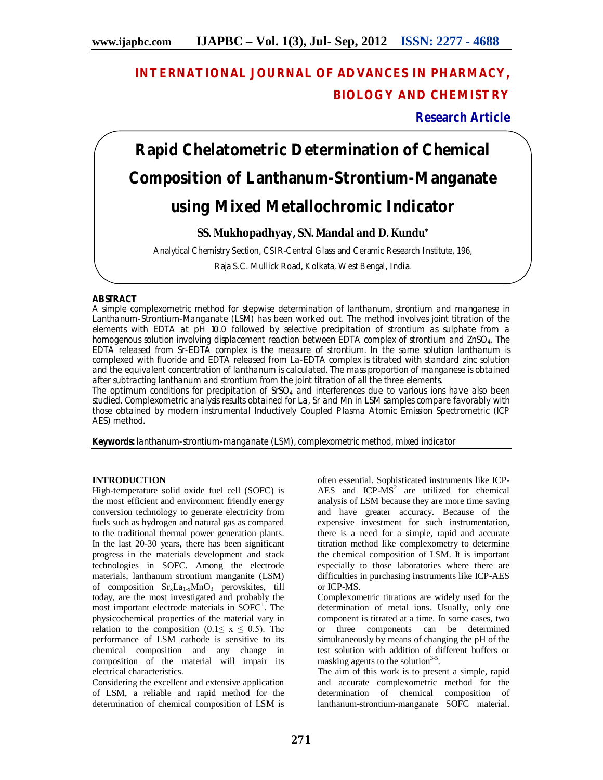# **INTERNATIONAL JOURNAL OF ADVANCES IN PHARMACY, BIOLOGY AND CHEMISTRY**

**Research Article**

# **Rapid Chelatometric Determination of Chemical Composition of Lanthanum-Strontium-Manganate using Mixed Metallochromic Indicator**

# **SS. Mukhopadhyay, SN. Mandal and D. Kundu\***

Analytical Chemistry Section, CSIR-Central Glass and Ceramic Research Institute, 196,

Raja S.C. Mullick Road, Kolkata, West Bengal, India.

# **ABSTRACT**

A simple complexometric method for stepwise determination of lanthanum, strontium and manganese in Lanthanum-Strontium-Manganate (LSM) has been worked out. The method involves joint titration of the elements with EDTA at pH 10.0 followed by selective precipitation of strontium as sulphate from a homogenous solution involving displacement reaction between EDTA complex of strontium and ZnSO4. The EDTA released from Sr-EDTA complex is the measure of strontium. In the same solution lanthanum is complexed with fluoride and EDTA released from La-EDTA complex is titrated with standard zinc solution and the equivalent concentration of lanthanum is calculated. The mass proportion of manganese is obtained after subtracting lanthanum and strontium from the joint titration of all the three elements.

The optimum conditions for precipitation of  $SrSO<sub>4</sub>$  and interferences due to various ions have also been studied. Complexometric analysis results obtained for La, Sr and Mn in LSM samples compare favorably with those obtained by modern instrumental Inductively Coupled Plasma Atomic Emission Spectrometric (ICP AES) method.

**Keywords:** lanthanum-strontium-manganate (LSM), complexometric method, mixed indicator

#### **INTRODUCTION**

High-temperature solid oxide fuel cell (SOFC) is the most efficient and environment friendly energy conversion technology to generate electricity from fuels such as hydrogen and natural gas as compared to the traditional thermal power generation plants. In the last 20-30 years, there has been significant progress in the materials development and stack technologies in SOFC. Among the electrode materials, lanthanum strontium manganite (LSM) of composition  $Sr_xLa_{1-x}MnO_3$  perovskites, till today, are the most investigated and probably the most important electrode materials in SOFC<sup>1</sup>. The physicochemical properties of the material vary in relation to the composition (0.1≤ x ≤ 0.5). The performance of LSM cathode is sensitive to its chemical composition and any change in composition of the material will impair its electrical characteristics.

Considering the excellent and extensive application of LSM, a reliable and rapid method for the determination of chemical composition of LSM is often essential. Sophisticated instruments like ICP-AES and  $ICP-MS<sup>2</sup>$  are utilized for chemical analysis of LSM because they are more time saving and have greater accuracy. Because of the expensive investment for such instrumentation, there is a need for a simple, rapid and accurate titration method like complexometry to determine the chemical composition of LSM. It is important especially to those laboratories where there are difficulties in purchasing instruments like ICP-AES or ICP-MS.

Complexometric titrations are widely used for the determination of metal ions. Usually, only one component is titrated at a time. In some cases, two or three components can be determined simultaneously by means of changing the pH of the test solution with addition of different buffers or masking agents to the solution<sup>3-5</sup>.

The aim of this work is to present a simple, rapid and accurate complexometric method for the determination of chemical composition of lanthanum-strontium-manganate SOFC material.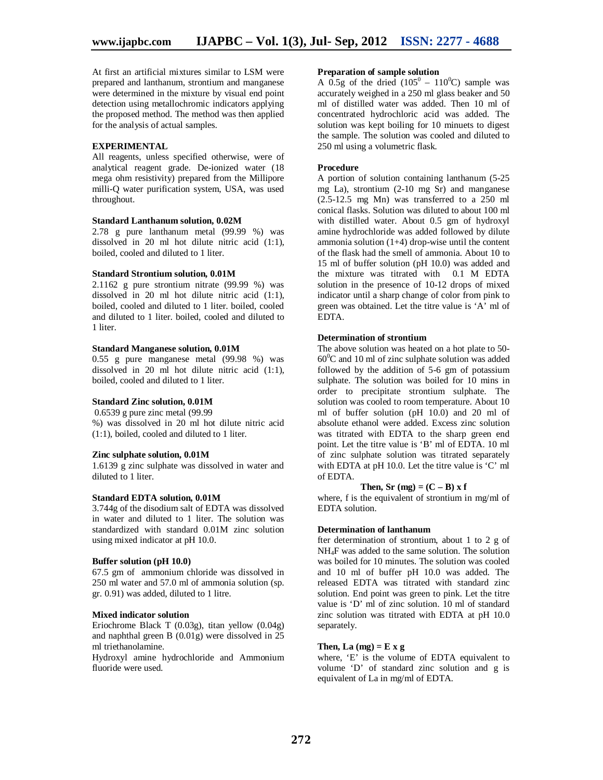At first an artificial mixtures similar to LSM were prepared and lanthanum, strontium and manganese were determined in the mixture by visual end point detection using metallochromic indicators applying the proposed method. The method was then applied for the analysis of actual samples.

# **EXPERIMENTAL**

All reagents, unless specified otherwise, were of analytical reagent grade. De-ionized water (18 mega ohm resistivity) prepared from the Millipore milli-Q water purification system, USA, was used throughout.

#### **Standard Lanthanum solution, 0.02M**

2.78 g pure lanthanum metal (99.99 %) was dissolved in 20 ml hot dilute nitric acid (1:1), boiled, cooled and diluted to 1 liter.

#### **Standard Strontium solution, 0.01M**

2.1162 g pure strontium nitrate (99.99 %) was dissolved in 20 ml hot dilute nitric acid (1:1), boiled, cooled and diluted to 1 liter. boiled, cooled and diluted to 1 liter. boiled, cooled and diluted to 1 liter.

#### **Standard Manganese solution, 0.01M**

0.55 g pure manganese metal (99.98 %) was dissolved in 20 ml hot dilute nitric acid (1:1), boiled, cooled and diluted to 1 liter.

#### **Standard Zinc solution, 0.01M**

0.6539 g pure zinc metal (99.99 %) was dissolved in 20 ml hot dilute nitric acid (1:1), boiled, cooled and diluted to 1 liter.

#### **Zinc sulphate solution, 0.01M**

1.6139 g zinc sulphate was dissolved in water and diluted to 1 liter.

#### **Standard EDTA solution, 0.01M**

3.744g of the disodium salt of EDTA was dissolved in water and diluted to 1 liter. The solution was standardized with standard 0.01M zinc solution using mixed indicator at pH 10.0.

#### **Buffer solution (pH 10.0)**

67.5 gm of ammonium chloride was dissolved in 250 ml water and 57.0 ml of ammonia solution (sp. gr. 0.91) was added, diluted to 1 litre.

#### **Mixed indicator solution**

Eriochrome Black T (0.03g), titan yellow (0.04g) and naphthal green B (0.01g) were dissolved in 25 ml triethanolamine.

Hydroxyl amine hydrochloride and Ammonium fluoride were used.

#### **Preparation of sample solution**

A 0.5g of the dried  $(105^0 - 110^0C)$  sample was accurately weighed in a 250 ml glass beaker and 50 ml of distilled water was added. Then 10 ml of concentrated hydrochloric acid was added. The solution was kept boiling for 10 minuets to digest the sample. The solution was cooled and diluted to 250 ml using a volumetric flask.

#### **Procedure**

A portion of solution containing lanthanum (5-25 mg La), strontium (2-10 mg Sr) and manganese (2.5-12.5 mg Mn) was transferred to a 250 ml conical flasks. Solution was diluted to about 100 ml with distilled water. About 0.5 gm of hydroxyl amine hydrochloride was added followed by dilute ammonia solution (1+4) drop-wise until the content of the flask had the smell of ammonia. About 10 to 15 ml of buffer solution (pH 10.0) was added and the mixture was titrated with 0.1 M EDTA solution in the presence of 10-12 drops of mixed indicator until a sharp change of color from pink to green was obtained. Let the titre value is 'A' ml of EDTA.

#### **Determination of strontium**

The above solution was heated on a hot plate to 50-  $60^{\circ}$ C and 10 ml of zinc sulphate solution was added followed by the addition of 5-6 gm of potassium sulphate. The solution was boiled for 10 mins in order to precipitate strontium sulphate. The solution was cooled to room temperature. About 10 ml of buffer solution (pH 10.0) and 20 ml of absolute ethanol were added. Excess zinc solution was titrated with EDTA to the sharp green end point. Let the titre value is 'B' ml of EDTA. 10 ml of zinc sulphate solution was titrated separately with EDTA at pH 10.0. Let the titre value is 'C' ml of EDTA.

### **Then, Sr** (mg) =  $(C - B)$  **x f**

where, f is the equivalent of strontium in mg/ml of EDTA solution.

#### **Determination of lanthanum**

fter determination of strontium, about 1 to 2 g of NH4F was added to the same solution. The solution was boiled for 10 minutes. The solution was cooled and 10 ml of buffer pH 10.0 was added. The released EDTA was titrated with standard zinc solution. End point was green to pink. Let the titre value is 'D' ml of zinc solution. 10 ml of standard zinc solution was titrated with EDTA at pH 10.0 separately.

#### **Then, La** (mg) =  $E$  x g

where, 'E' is the volume of EDTA equivalent to volume 'D' of standard zinc solution and g is equivalent of La in mg/ml of EDTA.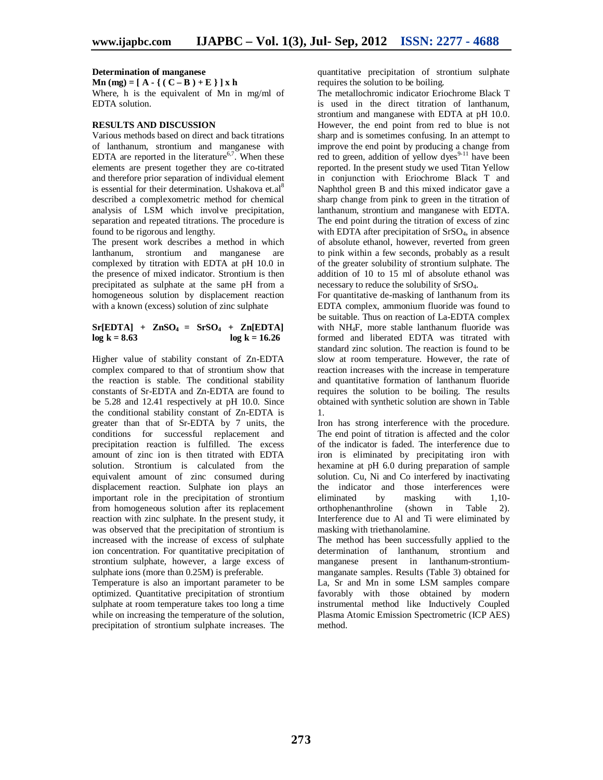#### **Determination of manganese**

**Mn** (mg) =  $[A - \{(C - B) + E\}] \times h$ Where, h is the equivalent of Mn in mg/ml of EDTA solution.

#### **RESULTS AND DISCUSSION**

Various methods based on direct and back titrations of lanthanum, strontium and manganese with EDTA are reported in the literature<sup>6,7</sup>. When these elements are present together they are co-titrated and therefore prior separation of individual element is essential for their determination. Ushakova et.al<sup>8</sup> described a complexometric method for chemical analysis of LSM which involve precipitation, separation and repeated titrations. The procedure is found to be rigorous and lengthy.

The present work describes a method in which lanthanum, strontium and manganese are complexed by titration with EDTA at pH 10.0 in the presence of mixed indicator. Strontium is then precipitated as sulphate at the same pH from a homogeneous solution by displacement reaction with a known (excess) solution of zinc sulphate

# $Sr[EDTA] + ZnSO<sub>4</sub> = SrSO<sub>4</sub> + Zn[EDTA]$  $log k = 8.63$   $log k = 16.26$

Higher value of stability constant of Zn-EDTA complex compared to that of strontium show that the reaction is stable. The conditional stability constants of Sr-EDTA and Zn-EDTA are found to be 5.28 and 12.41 respectively at pH 10.0. Since the conditional stability constant of Zn-EDTA is greater than that of Sr-EDTA by 7 units, the conditions for successful replacement and precipitation reaction is fulfilled. The excess amount of zinc ion is then titrated with EDTA solution. Strontium is calculated from the equivalent amount of zinc consumed during displacement reaction. Sulphate ion plays an important role in the precipitation of strontium from homogeneous solution after its replacement reaction with zinc sulphate. In the present study, it was observed that the precipitation of strontium is increased with the increase of excess of sulphate ion concentration. For quantitative precipitation of strontium sulphate, however, a large excess of sulphate ions (more than 0.25M) is preferable.

Temperature is also an important parameter to be optimized. Quantitative precipitation of strontium sulphate at room temperature takes too long a time while on increasing the temperature of the solution, precipitation of strontium sulphate increases. The

quantitative precipitation of strontium sulphate requires the solution to be boiling.

The metallochromic indicator Eriochrome Black T is used in the direct titration of lanthanum, strontium and manganese with EDTA at pH 10.0. However, the end point from red to blue is not sharp and is sometimes confusing. In an attempt to improve the end point by producing a change from red to green, addition of yellow dyes<sup>9-11</sup> have been reported. In the present study we used Titan Yellow in conjunction with Eriochrome Black T and Naphthol green B and this mixed indicator gave a sharp change from pink to green in the titration of lanthanum, strontium and manganese with EDTA. The end point during the titration of excess of zinc with EDTA after precipitation of SrSO<sub>4</sub>, in absence of absolute ethanol, however, reverted from green to pink within a few seconds, probably as a result of the greater solubility of strontium sulphate. The addition of 10 to 15 ml of absolute ethanol was necessary to reduce the solubility of SrSO4.

For quantitative de-masking of lanthanum from its EDTA complex, ammonium fluoride was found to be suitable. Thus on reaction of La-EDTA complex with NH4F, more stable lanthanum fluoride was formed and liberated EDTA was titrated with standard zinc solution. The reaction is found to be slow at room temperature. However, the rate of reaction increases with the increase in temperature and quantitative formation of lanthanum fluoride requires the solution to be boiling. The results obtained with synthetic solution are shown in Table 1.

Iron has strong interference with the procedure. The end point of titration is affected and the color of the indicator is faded. The interference due to iron is eliminated by precipitating iron with hexamine at pH 6.0 during preparation of sample solution. Cu, Ni and Co interfered by inactivating the indicator and those interferences were<br>eliminated by masking with 1,10eliminated by masking with 1,10-<br>orthophenanthroline (shown in Table 2).  $(\text{shown} \quad \text{in} \quad \text{Table} \quad 2).$ Interference due to Al and Ti were eliminated by masking with triethanolamine.

The method has been successfully applied to the determination of lanthanum, strontium and manganese present in lanthanum-strontiummanganate samples. Results (Table 3) obtained for La, Sr and Mn in some LSM samples compare favorably with those obtained by modern instrumental method like Inductively Coupled Plasma Atomic Emission Spectrometric (ICP AES) method.